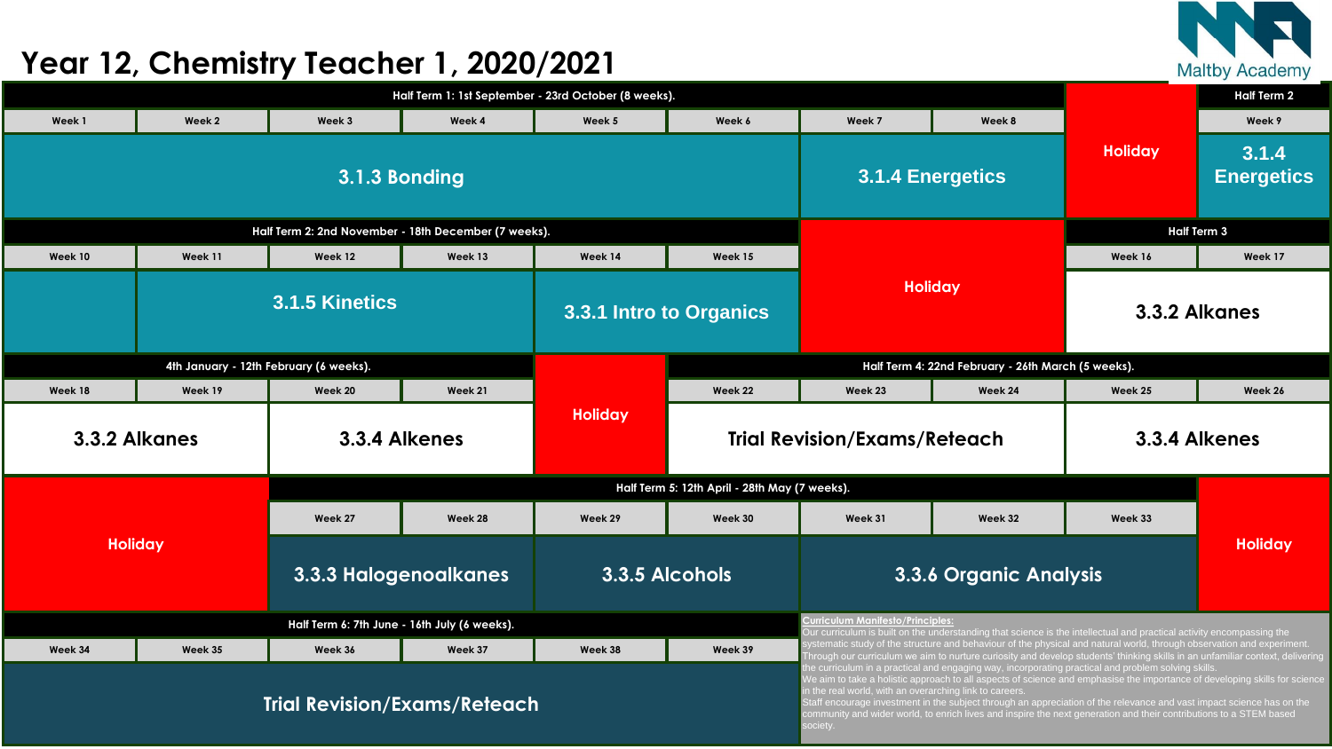

|                                          |                                              | <b>Half Term 2</b>                     |                                                      |                                     |                                                    |                                                                     |                                                                                                                                                                                                                                                                                                                                                                                                                                                                                  |                |                            |  |
|------------------------------------------|----------------------------------------------|----------------------------------------|------------------------------------------------------|-------------------------------------|----------------------------------------------------|---------------------------------------------------------------------|----------------------------------------------------------------------------------------------------------------------------------------------------------------------------------------------------------------------------------------------------------------------------------------------------------------------------------------------------------------------------------------------------------------------------------------------------------------------------------|----------------|----------------------------|--|
| Week 1                                   | Week 2                                       | Week 3                                 | Week 4                                               | Week 5                              | Week 6                                             | Week 7                                                              | Week 8                                                                                                                                                                                                                                                                                                                                                                                                                                                                           |                | Week 9                     |  |
|                                          |                                              |                                        | 3.1.3 Bonding                                        |                                     |                                                    |                                                                     | <b>3.1.4 Energetics</b>                                                                                                                                                                                                                                                                                                                                                                                                                                                          | <b>Holiday</b> | 3.1.4<br><b>Energetics</b> |  |
|                                          |                                              |                                        | Half Term 2: 2nd November - 18th December (7 weeks). |                                     |                                                    |                                                                     |                                                                                                                                                                                                                                                                                                                                                                                                                                                                                  |                | <b>Half Term 3</b>         |  |
| Week 10<br>Week 11<br>Week 13<br>Week 12 |                                              |                                        | Week 14                                              | Week 15                             |                                                    |                                                                     | Week 16                                                                                                                                                                                                                                                                                                                                                                                                                                                                          | Week 17        |                            |  |
|                                          |                                              | 3.1.5 Kinetics                         |                                                      |                                     | 3.3.1 Intro to Organics                            |                                                                     | <b>Holiday</b>                                                                                                                                                                                                                                                                                                                                                                                                                                                                   |                | 3.3.2 Alkanes              |  |
|                                          |                                              | 4th January - 12th February (6 weeks). |                                                      |                                     | Half Term 4: 22nd February - 26th March (5 weeks). |                                                                     |                                                                                                                                                                                                                                                                                                                                                                                                                                                                                  |                |                            |  |
| Week 18                                  | Week 19                                      | Week 20                                | Week 21                                              |                                     | Week 22                                            | Week 23                                                             | Week 24                                                                                                                                                                                                                                                                                                                                                                                                                                                                          | Week 25        | Week 26                    |  |
| 3.3.4 Alkenes<br><b>3.3.2 Alkanes</b>    |                                              |                                        | <b>Holiday</b>                                       | <b>Trial Revision/Exams/Reteach</b> |                                                    |                                                                     | 3.3.4 Alkenes                                                                                                                                                                                                                                                                                                                                                                                                                                                                    |                |                            |  |
|                                          |                                              |                                        |                                                      |                                     | Half Term 5: 12th April - 28th May (7 weeks).      |                                                                     |                                                                                                                                                                                                                                                                                                                                                                                                                                                                                  |                |                            |  |
|                                          |                                              | Week 27                                | Week 28                                              | Week 29                             | Week 30                                            | Week 31                                                             | Week 32                                                                                                                                                                                                                                                                                                                                                                                                                                                                          | Week 33        |                            |  |
| <b>Holiday</b>                           |                                              | <b>3.3.3 Halogenoalkanes</b>           |                                                      | 3.3.5 Alcohols                      |                                                    | <b>3.3.6 Organic Analysis</b>                                       |                                                                                                                                                                                                                                                                                                                                                                                                                                                                                  |                | <b>Holiday</b>             |  |
|                                          | Half Term 6: 7th June - 16th July (6 weeks). |                                        |                                                      |                                     |                                                    |                                                                     | <b>Curriculum Manifesto/Principles:</b><br>Our curriculum is built on the understanding that science is the intellectual and practical activity encompassing the                                                                                                                                                                                                                                                                                                                 |                |                            |  |
| Week 34                                  | Week 35                                      | Week 36                                | Week 37                                              | Week 38                             | Week 39                                            |                                                                     | systematic study of the structure and behaviour of the physical and natural world, through observation and experiment.<br>Through our curriculum we aim to nurture curiosity and develop students' thinking skills in an unfamiliar context, delivering                                                                                                                                                                                                                          |                |                            |  |
| <b>Trial Revision/Exams/Reteach</b>      |                                              |                                        |                                                      |                                     |                                                    | in the real world, with an overarching link to careers.<br>society. | the curriculum in a practical and engaging way, incorporating practical and problem solving skills.<br>We aim to take a holistic approach to all aspects of science and emphasise the importance of developing skills for science<br>Staff encourage investment in the subject through an appreciation of the relevance and vast impact science has on the<br>community and wider world, to enrich lives and inspire the next generation and their contributions to a STEM based |                |                            |  |

## **Year 12, Chemistry Teacher 1, 2020/2021**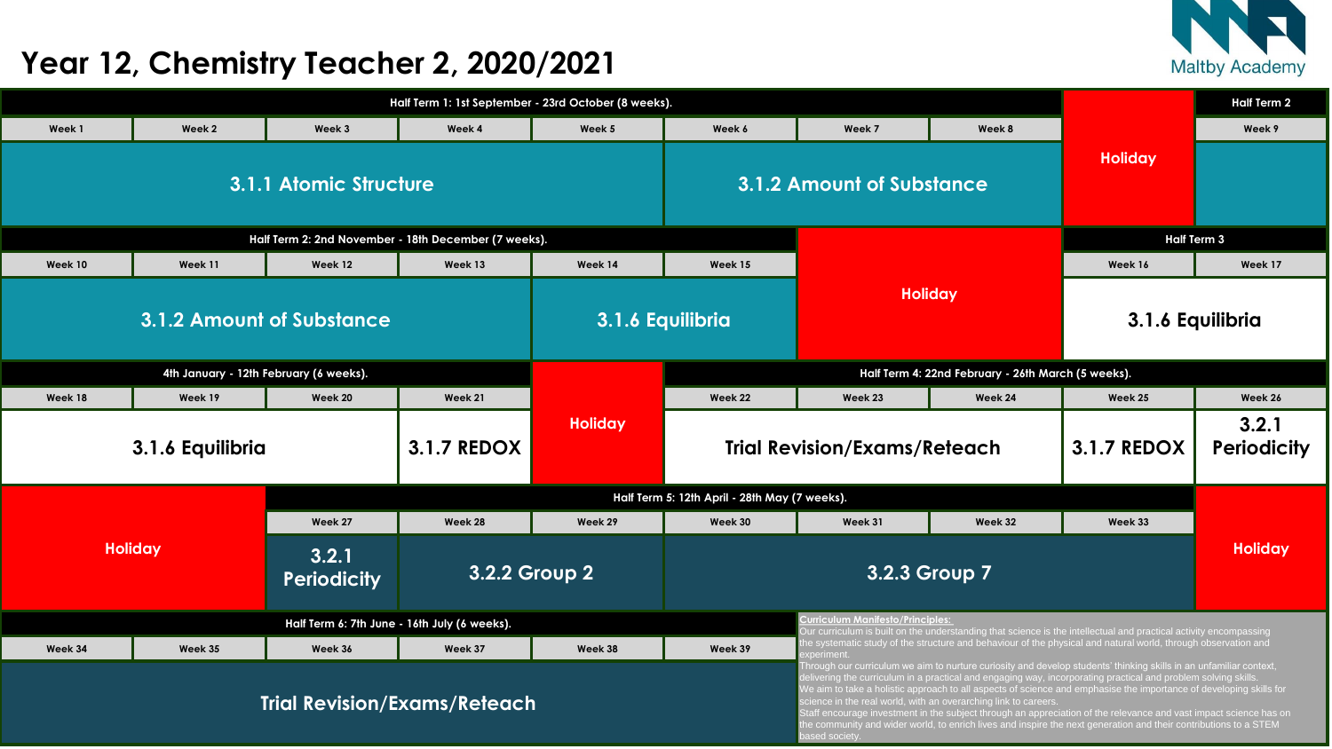

|                |                                        |                                                      |                    | Half Term 1: 1st September - 23rd October (8 weeks). |                                               |                                                                                                                                                                                                                                                                                                                                                                                                                           |                |  |
|----------------|----------------------------------------|------------------------------------------------------|--------------------|------------------------------------------------------|-----------------------------------------------|---------------------------------------------------------------------------------------------------------------------------------------------------------------------------------------------------------------------------------------------------------------------------------------------------------------------------------------------------------------------------------------------------------------------------|----------------|--|
| Week 1         | Week 2                                 | Week 3                                               | Week 4             | Week 5                                               | Week 6                                        | Week 7                                                                                                                                                                                                                                                                                                                                                                                                                    | W              |  |
|                | <b>3.1.1 Atomic Structure</b>          |                                                      |                    |                                                      |                                               |                                                                                                                                                                                                                                                                                                                                                                                                                           |                |  |
|                |                                        | Half Term 2: 2nd November - 18th December (7 weeks). |                    |                                                      |                                               |                                                                                                                                                                                                                                                                                                                                                                                                                           |                |  |
| Week 10        | Week 11                                | Week 12                                              | Week 13            | Week 14                                              | Week 15                                       |                                                                                                                                                                                                                                                                                                                                                                                                                           |                |  |
|                | <b>3.1.2 Amount of Substance</b>       |                                                      |                    | 3.1.6 Equilibria                                     |                                               |                                                                                                                                                                                                                                                                                                                                                                                                                           | <b>Holiday</b> |  |
|                | 4th January - 12th February (6 weeks). |                                                      |                    |                                                      |                                               |                                                                                                                                                                                                                                                                                                                                                                                                                           |                |  |
| Week 18        | Week 19                                | <b>Week 20</b>                                       | Week 21            |                                                      | Week 22                                       | Week 23                                                                                                                                                                                                                                                                                                                                                                                                                   | We             |  |
|                | 3.1.6 Equilibria                       |                                                      | <b>3.1.7 REDOX</b> | <b>Holiday</b>                                       |                                               | <b>3.1.2 Amount of Substance</b><br>Half Term 4: 22nd Februd<br><b>Trial Revision/Exams/Reteac</b><br>Week 31<br><b>Curriculum Manifesto/Principles:</b><br>Our curriculum is built on the understanding<br>the systematic study of the structure and be<br>experiment.<br>Through our curriculum we aim to nurture cu<br>delivering the curriculum in a practical and e<br>We aim to take a holistic approach to all asp |                |  |
|                |                                        |                                                      |                    |                                                      | Half Term 5: 12th April - 28th May (7 weeks). |                                                                                                                                                                                                                                                                                                                                                                                                                           |                |  |
|                |                                        | Week 27                                              | Week 28            | Week 29                                              | Week 30                                       |                                                                                                                                                                                                                                                                                                                                                                                                                           | We             |  |
| <b>Holiday</b> |                                        | 3.2.1<br><b>Periodicity</b>                          |                    | <b>3.2.2 Group 2</b>                                 |                                               | 3.2.3 Group 7                                                                                                                                                                                                                                                                                                                                                                                                             |                |  |
|                |                                        | Half Term 6: 7th June - 16th July (6 weeks).         |                    |                                                      |                                               |                                                                                                                                                                                                                                                                                                                                                                                                                           |                |  |
| Week 34        | Week 35                                | Week 36                                              | Week 37            | Week 38                                              | Week 39                                       |                                                                                                                                                                                                                                                                                                                                                                                                                           |                |  |
|                |                                        |                                                      |                    |                                                      |                                               |                                                                                                                                                                                                                                                                                                                                                                                                                           |                |  |

|                |                                        | <b>Half Term 2</b>                                   |                                       |                                                                                                                                                                                                                                                                                                                                                                                                                                                                                                                                                                                                                                                                                          |                                                    |                                                                                                                                                                                                                                                    |                |                    |                    |  |
|----------------|----------------------------------------|------------------------------------------------------|---------------------------------------|------------------------------------------------------------------------------------------------------------------------------------------------------------------------------------------------------------------------------------------------------------------------------------------------------------------------------------------------------------------------------------------------------------------------------------------------------------------------------------------------------------------------------------------------------------------------------------------------------------------------------------------------------------------------------------------|----------------------------------------------------|----------------------------------------------------------------------------------------------------------------------------------------------------------------------------------------------------------------------------------------------------|----------------|--------------------|--------------------|--|
| Week 1         | Week 2                                 | Week 3                                               | Week 4                                | Week 5                                                                                                                                                                                                                                                                                                                                                                                                                                                                                                                                                                                                                                                                                   | Week 6                                             | Week 7<br>Week 8                                                                                                                                                                                                                                   |                |                    | Week 9             |  |
|                |                                        | 3.1.1 Atomic Structure                               |                                       |                                                                                                                                                                                                                                                                                                                                                                                                                                                                                                                                                                                                                                                                                          | 3.1.2 Amount of Substance                          |                                                                                                                                                                                                                                                    |                | Holiday            |                    |  |
|                |                                        | Half Term 2: 2nd November - 18th December (7 weeks). |                                       |                                                                                                                                                                                                                                                                                                                                                                                                                                                                                                                                                                                                                                                                                          |                                                    |                                                                                                                                                                                                                                                    |                | <b>Half Term 3</b> |                    |  |
| <b>Week 10</b> | Week 11<br>Week 13<br>Week 12          |                                                      |                                       |                                                                                                                                                                                                                                                                                                                                                                                                                                                                                                                                                                                                                                                                                          | Week 15                                            |                                                                                                                                                                                                                                                    |                | Week 16            | Week 17            |  |
|                | <b>3.1.2 Amount of Substance</b>       |                                                      |                                       |                                                                                                                                                                                                                                                                                                                                                                                                                                                                                                                                                                                                                                                                                          | 3.1.6 Equilibria                                   |                                                                                                                                                                                                                                                    | <b>Holiday</b> |                    | 3.1.6 Equilibria   |  |
|                |                                        | 4th January - 12th February (6 weeks).               |                                       |                                                                                                                                                                                                                                                                                                                                                                                                                                                                                                                                                                                                                                                                                          | Half Term 4: 22nd February - 26th March (5 weeks). |                                                                                                                                                                                                                                                    |                |                    |                    |  |
| Week 18        | Week 19                                | <b>Week 20</b>                                       | Week 21                               |                                                                                                                                                                                                                                                                                                                                                                                                                                                                                                                                                                                                                                                                                          | Week 22                                            | Week 23                                                                                                                                                                                                                                            | Week 24        | Week 25            | Week 26            |  |
|                | <b>3.1.7 REDOX</b><br>3.1.6 Equilibria |                                                      |                                       | <b>Holiday</b>                                                                                                                                                                                                                                                                                                                                                                                                                                                                                                                                                                                                                                                                           | <b>Trial Revision/Exams/Reteach</b>                |                                                                                                                                                                                                                                                    |                | <b>3.1.7 REDOX</b> | 3.2.1<br>Periodici |  |
|                |                                        |                                                      |                                       |                                                                                                                                                                                                                                                                                                                                                                                                                                                                                                                                                                                                                                                                                          | Half Term 5: 12th April - 28th May (7 weeks).      |                                                                                                                                                                                                                                                    |                |                    |                    |  |
|                |                                        | Week 27                                              | Week 28                               | Week 29                                                                                                                                                                                                                                                                                                                                                                                                                                                                                                                                                                                                                                                                                  | Week 30                                            | Week 31                                                                                                                                                                                                                                            | Week 32        | Week 33            |                    |  |
|                | <b>Holiday</b>                         | 3.2.1<br><b>Periodicity</b>                          | <b>3.2.2 Group 2</b><br>3.2.3 Group 7 |                                                                                                                                                                                                                                                                                                                                                                                                                                                                                                                                                                                                                                                                                          |                                                    | <b>Holiday</b>                                                                                                                                                                                                                                     |                |                    |                    |  |
|                |                                        | Half Term 6: 7th June - 16th July (6 weeks).         |                                       |                                                                                                                                                                                                                                                                                                                                                                                                                                                                                                                                                                                                                                                                                          |                                                    | <b>Curriculum Manifesto/Principles:</b>                                                                                                                                                                                                            |                |                    |                    |  |
| Week 34        | Week 35<br>Week 37<br>Week 36          |                                                      |                                       |                                                                                                                                                                                                                                                                                                                                                                                                                                                                                                                                                                                                                                                                                          | Week 39                                            | Our curriculum is built on the understanding that science is the intellectual and practical activity encompassing<br>the systematic study of the structure and behaviour of the physical and natural world, through observation and<br>experiment. |                |                    |                    |  |
|                |                                        | <b>Trial Revision/Exams/Reteach</b>                  |                                       | Through our curriculum we aim to nurture curiosity and develop students' thinking skills in an unfamiliar context,<br>delivering the curriculum in a practical and engaging way, incorporating practical and problem solving skills.<br>We aim to take a holistic approach to all aspects of science and emphasise the importance of developing skills for<br>science in the real world, with an overarching link to careers.<br>Staff encourage investment in the subject through an appreciation of the relevance and vast impact science has on<br>the community and wider world, to enrich lives and inspire the next generation and their contributions to a STEM<br>based society. |                                                    |                                                                                                                                                                                                                                                    |                |                    |                    |  |

## **Year 12, Chemistry Teacher 2, 2020/2021**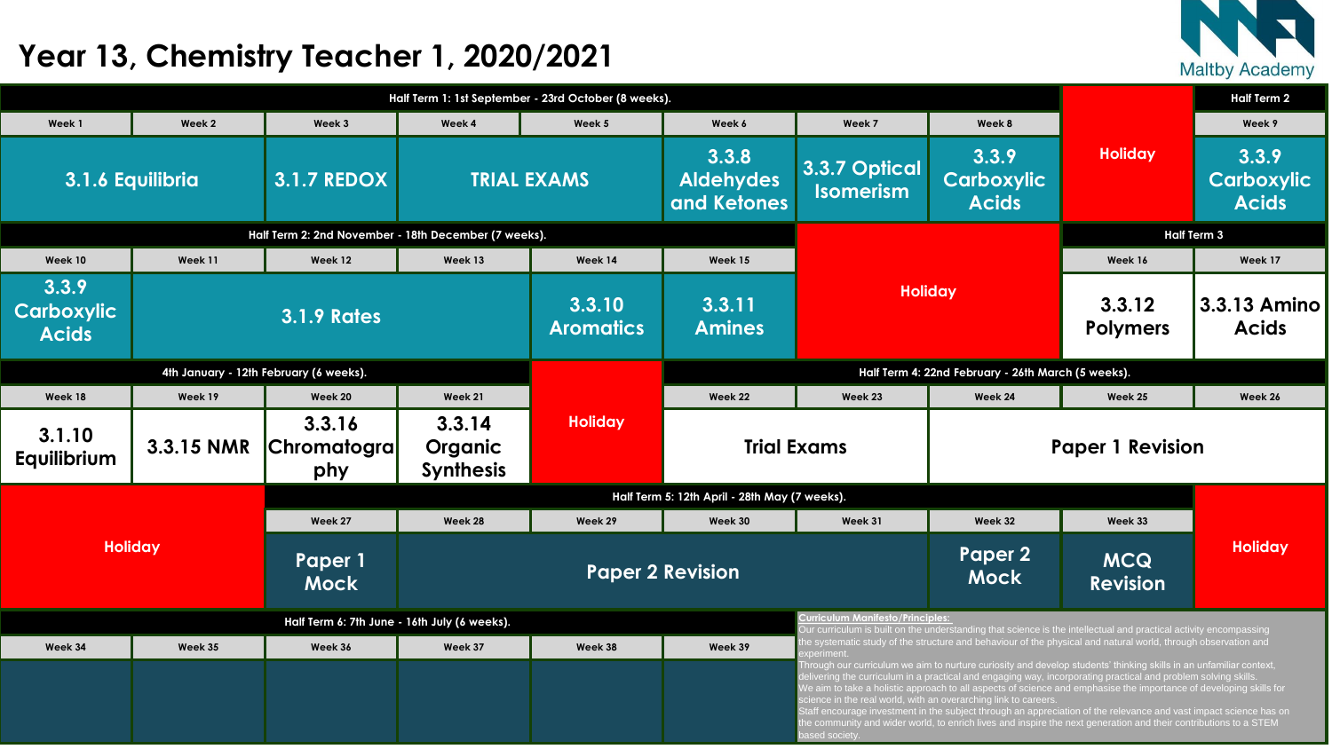

| Half Term 1: 1st September - 23rd October (8 weeks). |            |                                     |                                       |                            |                                                    |                                          |                                                                                                                                                                                                                                                                                                                                                                                                                                                                                                                                                                                                                                                                        |                           | <b>Half Term 2</b>               |  |
|------------------------------------------------------|------------|-------------------------------------|---------------------------------------|----------------------------|----------------------------------------------------|------------------------------------------|------------------------------------------------------------------------------------------------------------------------------------------------------------------------------------------------------------------------------------------------------------------------------------------------------------------------------------------------------------------------------------------------------------------------------------------------------------------------------------------------------------------------------------------------------------------------------------------------------------------------------------------------------------------------|---------------------------|----------------------------------|--|
| Week 1                                               | Week 2     | Week 3                              | Week 4                                | Week 5                     | Week 6                                             | Week 7                                   | Week 8                                                                                                                                                                                                                                                                                                                                                                                                                                                                                                                                                                                                                                                                 |                           | Week 9                           |  |
| 3.1.6 Equilibria                                     |            | <b>3.1.7 REDOX</b>                  |                                       | <b>TRIAL EXAMS</b>         | 3.3.8<br><b>Aldehydes</b><br>and Ketones           | <b>3.3.7 Optical</b><br><b>Isomerism</b> | 3.3.9<br><b>Carboxylic</b><br><b>Acids</b>                                                                                                                                                                                                                                                                                                                                                                                                                                                                                                                                                                                                                             | <b>Holiday</b>            | 3.3.9<br>Carboxy<br><b>Acids</b> |  |
| Half Term 2: 2nd November - 18th December (7 weeks). |            |                                     |                                       |                            |                                                    |                                          |                                                                                                                                                                                                                                                                                                                                                                                                                                                                                                                                                                                                                                                                        |                           | <b>Half Term 3</b>               |  |
| Week 10                                              | Week 11    | Week 12                             | Week 13                               | Week 14                    | Week 15                                            |                                          |                                                                                                                                                                                                                                                                                                                                                                                                                                                                                                                                                                                                                                                                        | Week 16                   | Week 17                          |  |
| 3.3.9<br><b>Carboxylic</b><br><b>Acids</b>           |            | <b>3.1.9 Rates</b>                  |                                       | 3.3.10<br><b>Aromatics</b> | 3.3.11<br><b>Amines</b>                            | <b>Holiday</b>                           |                                                                                                                                                                                                                                                                                                                                                                                                                                                                                                                                                                                                                                                                        | 3.3.12<br><b>Polymers</b> | 3.3.13 Am<br><b>Acids</b>        |  |
| 4th January - 12th February (6 weeks).               |            |                                     |                                       |                            | Half Term 4: 22nd February - 26th March (5 weeks). |                                          |                                                                                                                                                                                                                                                                                                                                                                                                                                                                                                                                                                                                                                                                        |                           |                                  |  |
| Week 18                                              | Week 19    | <b>Week 20</b>                      | Week 21                               |                            | <b>Week 22</b>                                     | Week 23                                  | Week 24                                                                                                                                                                                                                                                                                                                                                                                                                                                                                                                                                                                                                                                                | Week 25                   | Week 26                          |  |
| 3.1.10<br>Equilibrium                                | 3.3.15 NMR | 3.3.16<br><b>Chromatogra</b><br>phy | 3.3.14<br>Organic<br><b>Synthesis</b> | <b>Holiday</b>             |                                                    | <b>Trial Exams</b>                       |                                                                                                                                                                                                                                                                                                                                                                                                                                                                                                                                                                                                                                                                        | <b>Paper 1 Revision</b>   |                                  |  |
|                                                      |            |                                     |                                       |                            | Half Term 5: 12th April - 28th May (7 weeks).      |                                          |                                                                                                                                                                                                                                                                                                                                                                                                                                                                                                                                                                                                                                                                        |                           |                                  |  |
|                                                      |            | Week 27                             | Week 28                               | Week 29                    | Week 30                                            | Week 31                                  | Week 32                                                                                                                                                                                                                                                                                                                                                                                                                                                                                                                                                                                                                                                                | Week 33                   |                                  |  |
| <b>Holiday</b>                                       |            | Paper 1<br><b>Mock</b>              |                                       |                            | <b>Paper 2 Revision</b>                            |                                          | Paper 2<br><b>MCQ</b><br><b>Mock</b><br><b>Revision</b>                                                                                                                                                                                                                                                                                                                                                                                                                                                                                                                                                                                                                |                           | Holiday                          |  |
| Half Term 6: 7th June - 16th July (6 weeks).         |            |                                     |                                       |                            |                                                    | Curriculum Manifesto/Principles:         | Our curriculum is built on the understanding that science is the intellectual and practical activity encompassing                                                                                                                                                                                                                                                                                                                                                                                                                                                                                                                                                      |                           |                                  |  |
| Week 34                                              | Week 35    | Week 36                             | Week 37                               | Week 38                    | Week 39                                            | experiment                               | the systematic study of the structure and behaviour of the physical and natural world, through observation and                                                                                                                                                                                                                                                                                                                                                                                                                                                                                                                                                         |                           |                                  |  |
|                                                      |            |                                     |                                       |                            |                                                    |                                          | Through our curriculum we aim to nurture curiosity and develop students' thinking skills in an unfamiliar context,<br>delivering the curriculum in a practical and engaging way, incorporating practical and problem solving skills.<br>We aim to take a holistic approach to all aspects of science and emphasise the importance of developing skills for<br>science in the real world, with an overarching link to careers.<br>Staff encourage investment in the subject through an appreciation of the relevance and vast impact science has or<br>the community and wider world, to enrich lives and inspire the next generation and their contributions to a STEM |                           |                                  |  |

Staff encourage investment in the subject through an appreciation of the relevance and vast impact science has on the community and wider world, to enrich lives and inspire the next generation and their contributions to a STEM based society.

## **Year 13, Chemistry Teacher 1, 2020/2021**